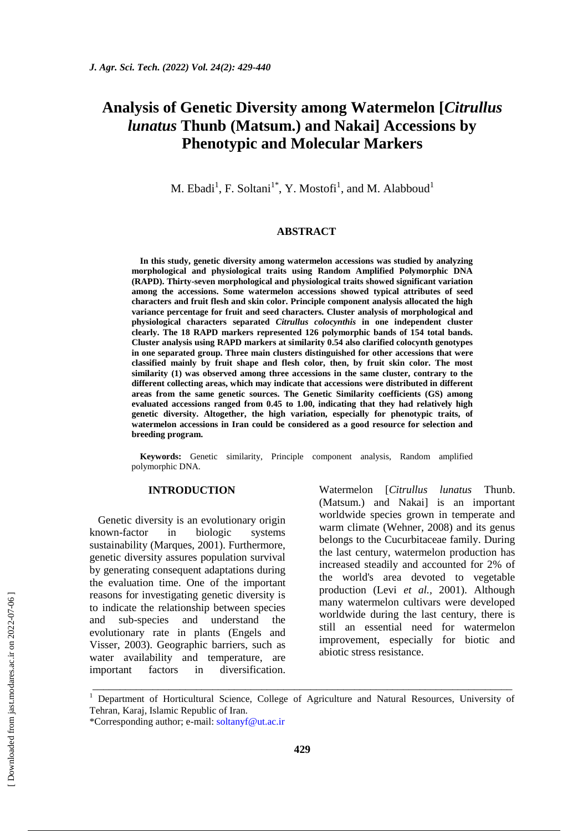# **Analysis of Genetic Diversity among Watermelon [***Citrullus lunatus* **Thunb (Matsum.) and Nakai] Accessions by Phenotypic and Molecular Markers**

M. Ebadi<sup>1</sup>, F. Soltani<sup>1\*</sup>, Y. Mostofi<sup>1</sup>, and M. Alabboud<sup>1</sup>

# **ABSTRACT**

**In this study, genetic diversity among watermelon accessions was studied by analyzing morphological and physiological traits using Random Amplified Polymorphic DNA (RAPD). Thirty-seven morphological and physiological traits showed significant variation among the accessions. Some watermelon accessions showed typical attributes of seed characters and fruit flesh and skin color. Principle component analysis allocated the high variance percentage for fruit and seed characters. Cluster analysis of morphological and physiological characters separated** *Citrullus colocynthis* **in one independent cluster clearly. The 18 RAPD markers represented 126 polymorphic bands of 154 total bands. Cluster analysis using RAPD markers at similarity 0.54 also clarified colocynth genotypes in one separated group. Three main clusters distinguished for other accessions that were classified mainly by fruit shape and flesh color, then, by fruit skin color. The most similarity (1) was observed among three accessions in the same cluster, contrary to the different collecting areas, which may indicate that accessions were distributed in different areas from the same genetic sources. The Genetic Similarity coefficients (GS) among evaluated accessions ranged from 0.45 to 1.00, indicating that they had relatively high genetic diversity. Altogether, the high variation, especially for phenotypic traits, of watermelon accessions in Iran could be considered as a good resource for selection and breeding program.**

**Keywords:** Genetic similarity, Principle component analysis, Random amplified polymorphic DNA.

## **INTRODUCTION**

Genetic diversity is an evolutionary origin known-factor in biologic systems sustainability (Marques, 2001). Furthermore, genetic diversity assures population survival by generating consequent adaptations during the evaluation time. One of the important reasons for investigating genetic diversity is to indicate the relationship between species and sub-species and understand the evolutionary rate in plants (Engels and Visser, 2003). Geographic barriers, such as water availability and temperature, are important factors in diversification.

Watermelon [*Citrullus lunatus* Thunb. (Matsum.) and Nakai] is an important worldwide species grown in temperate and warm climate (Wehner, 2008) and its genus belongs to the Cucurbitaceae family. During the last century, watermelon production has increased steadily and accounted for 2% of the world's area devoted to vegetable production (Levi *et al.,* 2001). Although many watermelon cultivars were developed worldwide during the last century, there is still an essential need for watermelon improvement, especially for biotic and abiotic stress resistance.

\_\_\_\_\_\_\_\_\_\_\_\_\_\_\_\_\_\_\_\_\_\_\_\_\_\_\_\_\_\_\_\_\_\_\_\_\_\_\_\_\_\_\_\_\_\_\_\_\_\_\_\_\_\_\_\_\_\_\_\_\_\_\_\_\_\_\_\_\_\_\_\_\_\_\_\_\_

<sup>&</sup>lt;sup>1</sup> Department of Horticultural Science, College of Agriculture and Natural Resources, University of Tehran, Karaj, Islamic Republic of Iran.

<sup>\*</sup>Corresponding author; e-mail: [soltanyf@ut.ac.ir](mailto:soltanyf@ut.ac.ir*)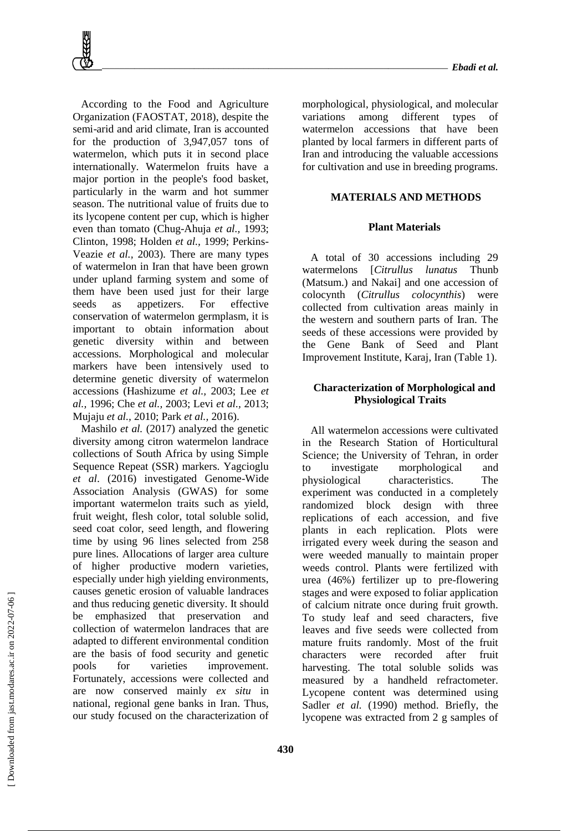According to the Food and Agriculture Organization (FAOSTAT, 2018), despite the semi-arid and arid climate, Iran is accounted for the production of 3,947,057 tons of watermelon, which puts it in second place internationally. Watermelon fruits have a major portion in the people's food basket, particularly in the warm and hot summer season. The nutritional value of fruits due to its lycopene content per cup, which is higher even than tomato (Chug-Ahuja *et al.,* 1993; Clinton, 1998; Holden *et al.,* 1999; Perkins-Veazie *et al.,* 2003). There are many types of watermelon in Iran that have been grown under upland farming system and some of them have been used just for their large seeds as appetizers. For effective conservation of watermelon germplasm, it is important to obtain information about genetic diversity within and between accessions. Morphological and molecular markers have been intensively used to determine genetic diversity of watermelon accessions (Hashizume *et al.,* 2003; Lee *et al.,* 1996; Che *et al.,* 2003; Levi *et al.,* 2013; Mujaju *et al.,* 2010; Park *et al.,* 2016).

Mashilo *et al.* (2017) analyzed the genetic diversity among citron watermelon landrace collections of South Africa by using Simple Sequence Repeat (SSR) markers. Yagcioglu *et al*. (2016) investigated Genome-Wide Association Analysis (GWAS) for some important watermelon traits such as yield, fruit weight, flesh color, total soluble solid, seed coat color, seed length, and flowering time by using 96 lines selected from 258 pure lines. Allocations of larger area culture of higher productive modern varieties, especially under high yielding environments, causes genetic erosion of valuable landraces and thus reducing genetic diversity. It should be emphasized that preservation and collection of watermelon landraces that are adapted to different environmental condition are the basis of food security and genetic pools for varieties improvement. Fortunately, accessions were collected and are now conserved mainly *ex situ* in national, regional gene banks in Iran. Thus, our study focused on the characterization of

morphological, physiological, and molecular variations among different types of watermelon accessions that have been planted by local farmers in different parts of Iran and introducing the valuable accessions for cultivation and use in breeding programs.

# **MATERIALS AND METHODS**

## **Plant Materials**

A total of 30 accessions including 29 watermelons [*Citrullus lunatus* Thunb (Matsum.) and Nakail and one accession of colocynth (*Citrullus colocynthis*) were collected from cultivation areas mainly in the western and southern parts of Iran. The seeds of these accessions were provided by the Gene Bank of Seed and Plant Improvement Institute, Karaj, Iran (Table 1).

# **Characterization of Morphological and Physiological Traits**

All watermelon accessions were cultivated in the Research Station of Horticultural Science; the University of Tehran, in order to investigate morphological and physiological characteristics. The experiment was conducted in a completely randomized block design with three replications of each accession, and five plants in each replication. Plots were irrigated every week during the season and were weeded manually to maintain proper weeds control. Plants were fertilized with urea (46%) fertilizer up to pre-flowering stages and were exposed to foliar application of calcium nitrate once during fruit growth. To study leaf and seed characters, five leaves and five seeds were collected from mature fruits randomly. Most of the fruit characters were recorded after fruit harvesting. The total soluble solids was measured by a handheld refractometer. Lycopene content was determined using Sadler *et al.* (1990) method. Briefly, the lycopene was extracted from 2 g samples of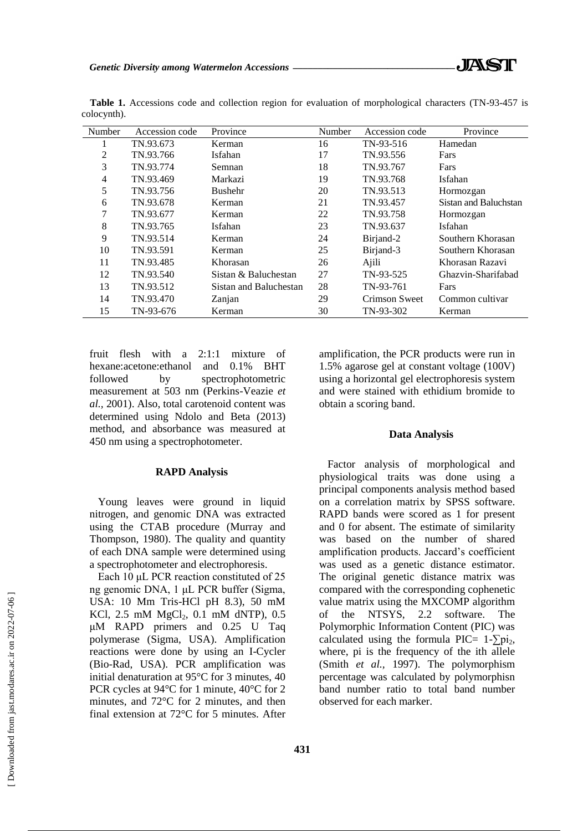| Number | Accession code | Province               | Number | Accession code | Province              |
|--------|----------------|------------------------|--------|----------------|-----------------------|
|        | TN.93.673      | Kerman                 | 16     | TN-93-516      | Hamedan               |
| 2      | TN.93.766      | Isfahan                | 17     | TN.93.556      | Fars                  |
| 3      | TN.93.774      | Semnan                 | 18     | TN.93.767      | Fars                  |
| 4      | TN.93.469      | Markazi                | 19     | TN.93.768      | Isfahan               |
| 5      | TN.93.756      | <b>Bushehr</b>         | 20     | TN.93.513      | Hormozgan             |
| 6      | TN.93.678      | Kerman                 | 21     | TN.93.457      | Sistan and Baluchstan |
| 7      | TN.93.677      | Kerman                 | 22     | TN.93.758      | Hormozgan             |
| 8      | TN.93.765      | Isfahan                | 23     | TN.93.637      | Isfahan               |
| 9      | TN.93.514      | Kerman                 | 24     | Birjand-2      | Southern Khorasan     |
| 10     | TN.93.591      | Kerman                 | 25     | Birjand-3      | Southern Khorasan     |
| 11     | TN.93.485      | Khorasan               | 26     | Ajili          | Khorasan Razavi       |
| 12     | TN.93.540      | Sistan & Baluchestan   | 27     | TN-93-525      | Ghazvin-Sharifabad    |
| 13     | TN.93.512      | Sistan and Baluchestan | 28     | TN-93-761      | Fars                  |
| 14     | TN.93.470      | Zanjan                 | 29     | Crimson Sweet  | Common cultivar       |
| 15     | TN-93-676      | Kerman                 | 30     | TN-93-302      | Kerman                |

**Table 1.** Accessions code and collection region for evaluation of morphological characters (TN-93-457 is colocynth).

fruit flesh with a 2:1:1 mixture of hexane:acetone:ethanol and 0.1% BHT followed by spectrophotometric measurement at 503 nm (Perkins-Veazie *et al.,* 2001). Also, total carotenoid content was determined using Ndolo and Beta (2013) method, and absorbance was measured at 450 nm using a spectrophotometer.

## **RAPD Analysis**

Young leaves were ground in liquid nitrogen, and genomic DNA was extracted using the CTAB procedure (Murray and Thompson, 1980). The quality and quantity of each DNA sample were determined using a spectrophotometer and electrophoresis.

Each 10 μL PCR reaction constituted of 25 ng genomic DNA, 1 μL PCR buffer (Sigma, USA: 10 Mm Tris-HCl pH 8.3), 50 mM KCl,  $2.5$  mM  $MgCl<sub>2</sub>$ ,  $0.1$  mM dNTP),  $0.5$ μM RAPD primers and 0.25 U Taq polymerase (Sigma, USA). Amplification reactions were done by using an I-Cycler (Bio-Rad, USA). PCR amplification was initial denaturation at 95°C for 3 minutes, 40 PCR cycles at 94°C for 1 minute, 40°C for 2 minutes, and 72°C for 2 minutes, and then final extension at 72°C for 5 minutes. After amplification, the PCR products were run in 1.5% agarose gel at constant voltage (100V) using a horizontal gel electrophoresis system and were stained with ethidium bromide to obtain a scoring band.

#### **Data Analysis**

Factor analysis of morphological and physiological traits was done using a principal components analysis method based on a correlation matrix by SPSS software. RAPD bands were scored as 1 for present and 0 for absent. The estimate of similarity was based on the number of shared amplification products. Jaccard's coefficient was used as a genetic distance estimator. The original genetic distance matrix was compared with the corresponding cophenetic value matrix using the MXCOMP algorithm of the NTSYS, 2.2 software. The Polymorphic Information Content (PIC) was calculated using the formula PIC=  $1-\overline{\smash{\bigtriangledown}}\,\mathrm{pi}_{2}$ , where, pi is the frequency of the ith allele (Smith *et al.,* 1997). The polymorphism percentage was calculated by polymorphisn band number ratio to total band number observed for each marker.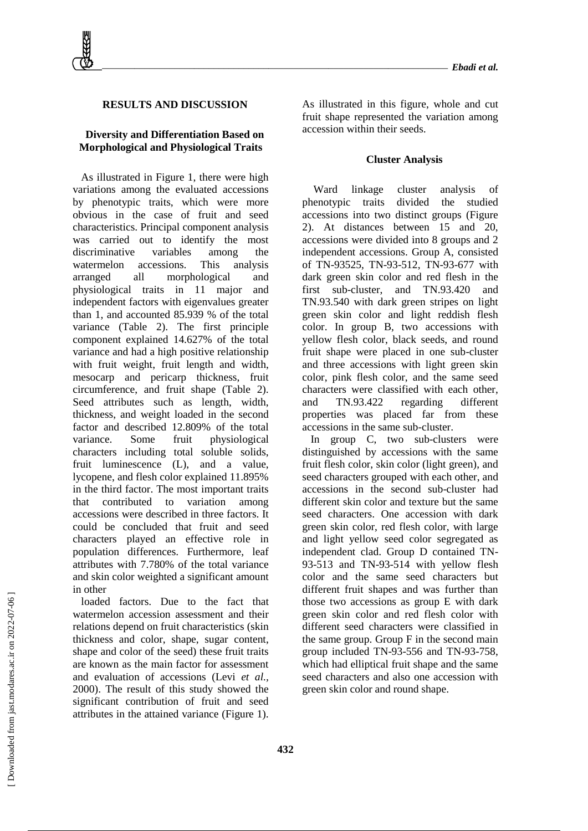# **RESULTS AND DISCUSSION**

# **Diversity and Differentiation Based on Morphological and Physiological Traits**

As illustrated in Figure 1, there were high variations among the evaluated accessions by phenotypic traits, which were more obvious in the case of fruit and seed characteristics. Principal component analysis was carried out to identify the most discriminative variables among the watermelon accessions. This analysis arranged all morphological and physiological traits in 11 major and independent factors with eigenvalues greater than 1, and accounted 85.939 % of the total variance (Table 2). The first principle component explained 14.627% of the total variance and had a high positive relationship with fruit weight, fruit length and width, mesocarp and pericarp thickness, fruit circumference, and fruit shape (Table 2). Seed attributes such as length, width, thickness, and weight loaded in the second factor and described 12.809% of the total variance. Some fruit physiological characters including total soluble solids, fruit luminescence (L), and a value, lycopene, and flesh color explained 11.895% in the third factor. The most important traits that contributed to variation among accessions were described in three factors. It could be concluded that fruit and seed characters played an effective role in population differences. Furthermore, leaf attributes with 7.780% of the total variance and skin color weighted a significant amount in other

loaded factors. Due to the fact that watermelon accession assessment and their relations depend on fruit characteristics (skin thickness and color, shape, sugar content, shape and color of the seed) these fruit traits are known as the main factor for assessment and evaluation of accessions (Levi *et al.,* 2000). The result of this study showed the significant contribution of fruit and seed attributes in the attained variance (Figure 1).

As illustrated in this figure, whole and cut fruit shape represented the variation among accession within their seeds.

#### **Cluster Analysis**

Ward linkage cluster analysis of phenotypic traits divided the studied accessions into two distinct groups (Figure 2). At distances between 15 and 20, accessions were divided into 8 groups and 2 independent accessions. Group A, consisted of TN-93525, TN-93-512, TN-93-677 with dark green skin color and red flesh in the first sub-cluster, and TN.93.420 and TN.93.540 with dark green stripes on light green skin color and light reddish flesh color. In group B, two accessions with yellow flesh color, black seeds, and round fruit shape were placed in one sub-cluster and three accessions with light green skin color, pink flesh color, and the same seed characters were classified with each other, and TN.93.422 regarding different properties was placed far from these accessions in the same sub-cluster.

In group C, two sub-clusters were distinguished by accessions with the same fruit flesh color, skin color (light green), and seed characters grouped with each other, and accessions in the second sub-cluster had different skin color and texture but the same seed characters. One accession with dark green skin color, red flesh color, with large and light yellow seed color segregated as independent clad. Group D contained TN-93-513 and TN-93-514 with yellow flesh color and the same seed characters but different fruit shapes and was further than those two accessions as group E with dark green skin color and red flesh color with different seed characters were classified in the same group. Group F in the second main group included TN-93-556 and TN-93-758, which had elliptical fruit shape and the same seed characters and also one accession with green skin color and round shape.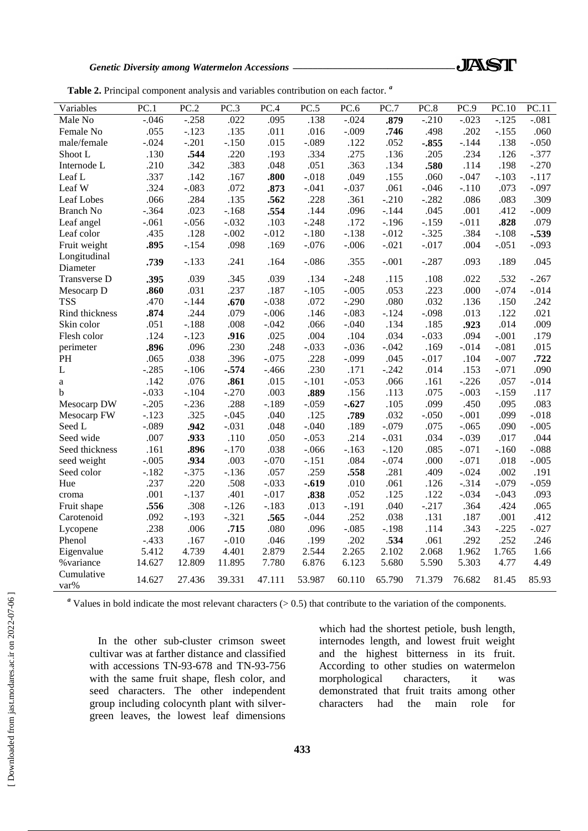*Genetic Diversity among Watermelon Accessions \_\_\_\_\_\_\_\_\_\_\_\_\_\_\_\_\_\_\_\_\_\_\_\_\_\_\_\_\_\_\_\_\_*

| Table 2. Principal component analysis and variables contribution on each factor. <sup>a</sup> |  |  |  |
|-----------------------------------------------------------------------------------------------|--|--|--|
|                                                                                               |  |  |  |

| Variables          | PC.1    | PC.2    | PC.3    | PC.4    | PC.5    | PC.6    | PC.7    | PC.8    | PC.9    | PC.10   | $\overline{PC}.11$ |
|--------------------|---------|---------|---------|---------|---------|---------|---------|---------|---------|---------|--------------------|
| Male No            | $-.046$ | $-.258$ | .022    | .095    | .138    | $-.024$ | .879    | $-.210$ | $-.023$ | $-.125$ | $-.081$            |
| Female No          | .055    | $-.123$ | .135    | .011    | .016    | $-.009$ | .746    | .498    | .202    | $-.155$ | .060               |
| male/female        | $-.024$ | $-.201$ | $-.150$ | .015    | $-.089$ | .122    | .052    | $-.855$ | $-.144$ | .138    | $-.050$            |
| Shoot L            | .130    | .544    | .220    | .193    | .334    | .275    | .136    | .205    | .234    | .126    | $-.377$            |
| Internode L        | .210    | .342    | .383    | .048    | .051    | .363    | .134    | .580    | .114    | .198    | $-.270$            |
| Leaf L             | .337    | .142    | .167    | .800    | $-.018$ | .049    | .155    | .060    | $-.047$ | $-.103$ | $-.117$            |
| Leaf W             | .324    | $-.083$ | .072    | .873    | $-.041$ | $-.037$ | .061    | $-.046$ | $-.110$ | .073    | $-.097$            |
| Leaf Lobes         | .066    | .284    | .135    | .562    | .228    | .361    | $-.210$ | $-.282$ | .086    | .083    | .309               |
| <b>Branch No</b>   | $-.364$ | .023    | $-.168$ | .554    | .144    | .096    | $-.144$ | .045    | .001    | .412    | $-.009$            |
| Leaf angel         | $-.061$ | $-.056$ | $-.032$ | .103    | $-.248$ | .172    | $-.196$ | $-.159$ | $-.011$ | .828    | .079               |
| Leaf color         | .435    | .128    | $-.002$ | $-.012$ | $-.180$ | $-.138$ | $-.012$ | $-.325$ | .384    | $-.108$ | $-.539$            |
| Fruit weight       | .895    | $-.154$ | .098    | .169    | $-.076$ | $-.006$ | $-.021$ | $-.017$ | .004    | $-.051$ | $-.093$            |
| Longitudinal       | .739    | $-.133$ | .241    | .164    | $-.086$ | .355    | $-.001$ | $-.287$ | .093    | .189    | .045               |
| Diameter           |         |         |         |         |         |         |         |         |         |         |                    |
| Transverse D       | .395    | .039    | .345    | .039    | .134    | $-.248$ | .115    | .108    | .022    | .532    | $-.267$            |
| Mesocarp D         | .860    | .031    | .237    | .187    | $-.105$ | $-.005$ | .053    | .223    | .000    | $-.074$ | $-.014$            |
| <b>TSS</b>         | .470    | $-.144$ | .670    | $-.038$ | .072    | $-.290$ | .080    | .032    | .136    | .150    | .242               |
| Rind thickness     | .874    | .244    | .079    | $-.006$ | .146    | $-.083$ | $-.124$ | $-.098$ | .013    | .122    | .021               |
| Skin color         | .051    | $-.188$ | .008    | $-.042$ | .066    | $-.040$ | .134    | .185    | .923    | .014    | .009               |
| Flesh color        | .124    | $-.123$ | .916    | .025    | .004    | .104    | .034    | $-.033$ | .094    | $-.001$ | .179               |
| perimeter          | .896    | .096    | .230    | .248    | $-.033$ | $-.036$ | $-.042$ | .169    | $-.014$ | $-.081$ | .015               |
| PH                 | .065    | .038    | .396    | $-.075$ | .228    | $-.099$ | .045    | $-.017$ | .104    | $-.007$ | .722               |
| L                  | $-.285$ | $-.106$ | $-.574$ | $-.466$ | .230    | .171    | $-.242$ | .014    | .153    | $-.071$ | .090               |
| a                  | .142    | .076    | .861    | .015    | $-.101$ | $-.053$ | .066    | .161    | $-.226$ | .057    | $-.014$            |
| b                  | $-.033$ | $-.104$ | $-.270$ | .003    | .889    | .156    | .113    | .075    | $-.003$ | $-.159$ | .117               |
| Mesocarp DW        | $-.205$ | $-.236$ | .288    | $-.189$ | $-.059$ | $-.627$ | .105    | .099    | .450    | .095    | .083               |
| Mesocarp FW        | $-.123$ | .325    | $-.045$ | .040    | .125    | .789    | .032    | $-.050$ | $-.001$ | .099    | $-.018$            |
| Seed L             | $-.089$ | .942    | $-.031$ | .048    | $-.040$ | .189    | $-.079$ | .075    | $-.065$ | .090    | $-.005$            |
| Seed wide          | .007    | .933    | .110    | .050    | $-.053$ | .214    | $-.031$ | .034    | $-.039$ | .017    | .044               |
| Seed thickness     | .161    | .896    | $-.170$ | .038    | $-.066$ | $-.163$ | $-.120$ | .085    | $-.071$ | $-.160$ | $-.088$            |
| seed weight        | $-.005$ | .934    | .003    | $-.070$ | $-.151$ | .084    | $-.074$ | .000    | $-.071$ | .018    | $-.005$            |
| Seed color         | $-.182$ | $-.375$ | $-.136$ | .057    | .259    | .558    | .281    | .409    | $-.024$ | .002    | .191               |
| Hue                | .237    | .220    | .508    | $-.033$ | $-.619$ | .010    | .061    | .126    | $-.314$ | $-.079$ | $-.059$            |
| croma              | .001    | $-.137$ | .401    | $-.017$ | .838    | .052    | .125    | .122    | $-.034$ | $-.043$ | .093               |
| Fruit shape        | .556    | .308    | $-.126$ | $-.183$ | .013    | $-.191$ | .040    | $-.217$ | .364    | .424    | .065               |
| Carotenoid         | .092    | $-.193$ | $-.321$ | .565    | $-.044$ | .252    | .038    | .131    | .187    | .001    | .412               |
| Lycopene           | .238    | .006    | .715    | .080    | .096    | $-.085$ | $-.198$ | .114    | .343    | $-.225$ | $-.027$            |
| Phenol             | $-.433$ | .167    | $-.010$ | .046    | .199    | .202    | .534    | .061    | .292    | .252    | .246               |
| Eigenvalue         | 5.412   | 4.739   | 4.401   | 2.879   | 2.544   | 2.265   | 2.102   | 2.068   | 1.962   | 1.765   | 1.66               |
| % variance         | 14.627  | 12.809  | 11.895  | 7.780   | 6.876   | 6.123   | 5.680   | 5.590   | 5.303   | 4.77    | 4.49               |
| Cumulative<br>var% | 14.627  | 27.436  | 39.331  | 47.111  | 53.987  | 60.110  | 65.790  | 71.379  | 76.682  | 81.45   | 85.93              |

<sup>a</sup> Values in bold indicate the most relevant characters (> 0.5) that contribute to the variation of the components.

In the other sub-cluster crimson sweet cultivar was at farther distance and classified with accessions TN-93-678 and TN-93-756 with the same fruit shape, flesh color, and seed characters. The other independent group including colocynth plant with silvergreen leaves, the lowest leaf dimensions which had the shortest petiole, bush length, internodes length, and lowest fruit weight and the highest bitterness in its fruit. According to other studies on watermelon morphological characters, it was demonstrated that fruit traits among other characters had the main role for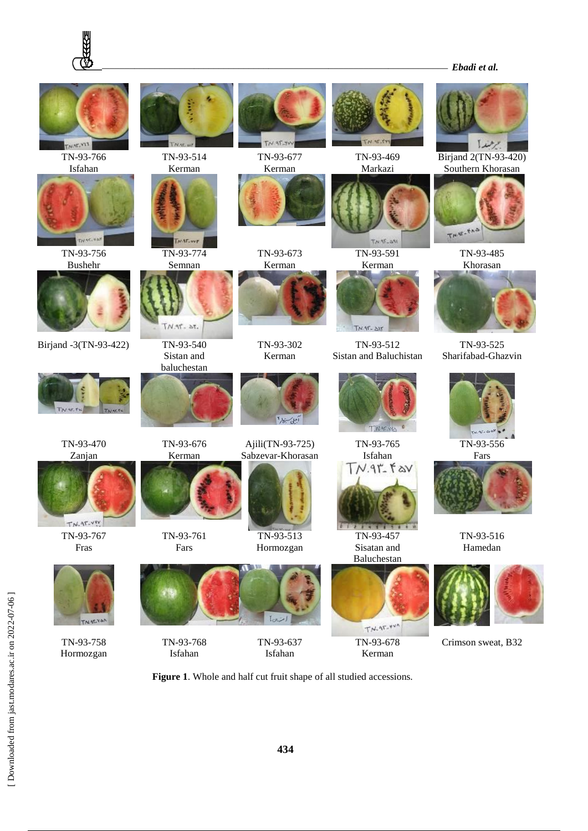





**Figure 1**. Whole and half cut fruit shape of all studied accessions.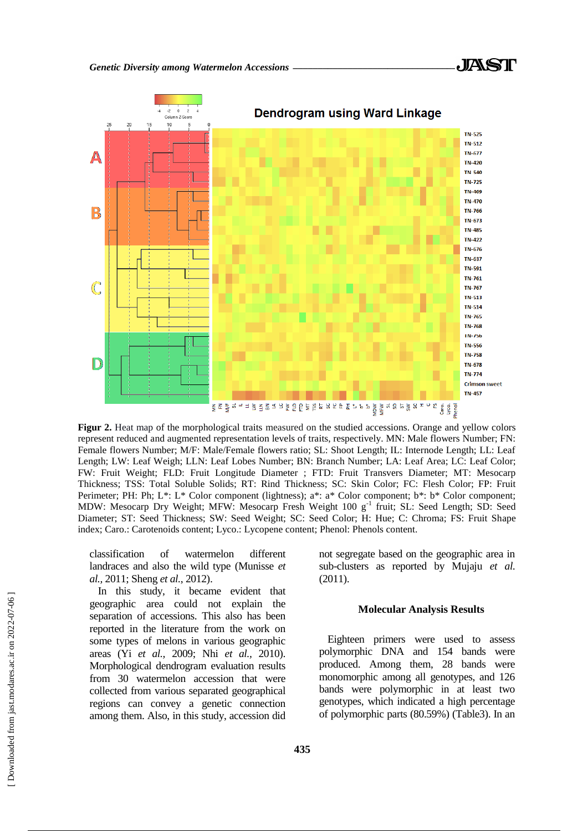

**Figur 2.** Heat map of the morphological traits measured on the studied accessions. Orange and yellow colors represent reduced and augmented representation levels of traits, respectively. MN: Male flowers Number; FN: Female flowers Number; M/F: Male/Female flowers ratio; SL: Shoot Length; IL: Internode Length; LL: Leaf Length; LW: Leaf Weigh; LLN: Leaf Lobes Number; BN: Branch Number; LA: Leaf Area; LC: Leaf Color; FW: Fruit Weight; FLD: Fruit Longitude Diameter ; FTD: Fruit Transvers Diameter; MT: Mesocarp Thickness; TSS: Total Soluble Solids; RT: Rind Thickness; SC: Skin Color; FC: Flesh Color; FP: Fruit Perimeter; PH: Ph; L\*: L\* Color component (lightness); a\*: a\* Color component; b\*: b\* Color component; MDW: Mesocarp Dry Weight; MFW: Mesocarp Fresh Weight 100 g<sup>-1</sup> fruit; SL: Seed Length; SD: Seed Diameter; ST: Seed Thickness; SW: Seed Weight; SC: Seed Color; H: Hue; C: Chroma; FS: Fruit Shape index; Caro.: Carotenoids content; Lyco.: Lycopene content; Phenol: Phenols content.

classification of watermelon different landraces and also the wild type (Munisse *et al.,* 2011; Sheng *et al.*, 2012).

In this study, it became evident that geographic area could not explain the separation of accessions. This also has been reported in the literature from the work on some types of melons in various geographic areas (Yi *et al.,* 2009; Nhi *et al.,* 2010). Morphological dendrogram evaluation results from 30 watermelon accession that were collected from various separated geographical regions can convey a genetic connection among them. Also, in this study, accession did not segregate based on the geographic area in sub-clusters as reported by Mujaju *et al.* (2011).

#### **Molecular Analysis Results**

Eighteen primers were used to assess polymorphic DNA and 154 bands were produced. Among them, 28 bands were monomorphic among all genotypes, and 126 bands were polymorphic in at least two genotypes, which indicated a high percentage of polymorphic parts (80.59%) (Table3). In an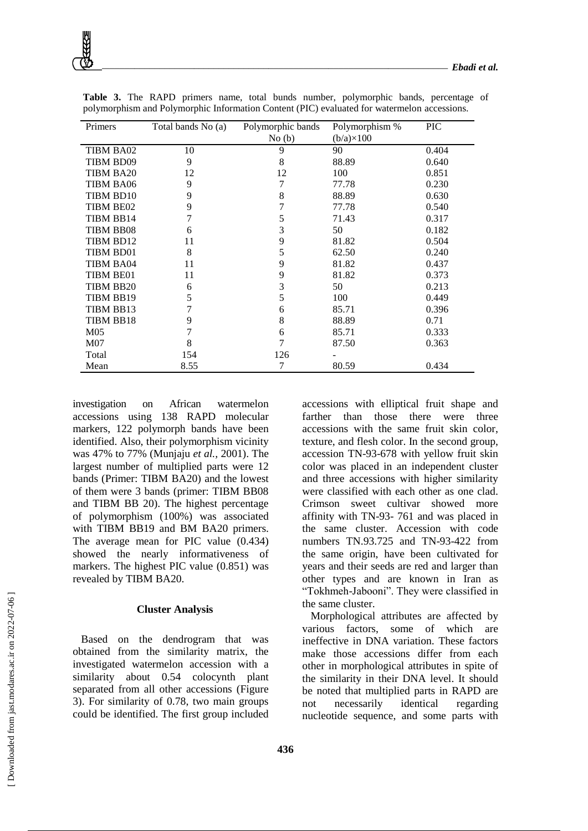| Primers          | Total bands No (a) | Polymorphic bands | Polymorphism %    | <b>PIC</b> |
|------------------|--------------------|-------------------|-------------------|------------|
|                  |                    | No(b)             | $(b/a)\times 100$ |            |
| TIBM BA02        | 10                 | 9                 | 90                | 0.404      |
| TIBM BD09        | 9                  | 8                 | 88.89             | 0.640      |
| TIBM BA20        | 12                 | 12                | 100               | 0.851      |
| <b>TIBM BA06</b> | 9                  | 7                 | 77.78             | 0.230      |
| TIBM BD10        | 9                  | 8                 | 88.89             | 0.630      |
| TIBM BE02        | 9                  |                   | 77.78             | 0.540      |
| TIBM BB14        | 7                  | 5                 | 71.43             | 0.317      |
| TIBM BB08        | 6                  | 3                 | 50                | 0.182      |
| TIBM BD12        | 11                 | 9                 | 81.82             | 0.504      |
| TIBM BD01        | 8                  | 5                 | 62.50             | 0.240      |
| TIBM BA04        | 11                 | 9                 | 81.82             | 0.437      |
| TIBM BE01        | 11                 | 9                 | 81.82             | 0.373      |
| TIBM BB20        | 6                  | 3                 | 50                | 0.213      |
| TIBM BB19        | 5                  | 5                 | 100               | 0.449      |
| TIBM BB13        | 7                  | 6                 | 85.71             | 0.396      |
| TIBM BB18        | 9                  | 8                 | 88.89             | 0.71       |
| M05              | 7                  | 6                 | 85.71             | 0.333      |
| M07              | 8                  | 7                 | 87.50             | 0.363      |
| Total            | 154                | 126               |                   |            |
| Mean             | 8.55               | 7                 | 80.59             | 0.434      |

**Table 3.** The RAPD primers name, total bunds number, polymorphic bands, percentage of polymorphism and Polymorphic Information Content (PIC) evaluated for watermelon accessions.

investigation on African watermelon accessions using 138 RAPD molecular markers, 122 polymorph bands have been identified. Also, their polymorphism vicinity was 47% to 77% (Munjaju *et al.,* 2001). The largest number of multiplied parts were 12 bands (Primer: TIBM BA20) and the lowest of them were 3 bands (primer: TIBM BB08 and TIBM BB 20). The highest percentage of polymorphism (100%) was associated with TIBM BB19 and BM BA20 primers. The average mean for PIC value (0.434) showed the nearly informativeness of markers. The highest PIC value (0.851) was revealed by TIBM BA20.

# **Cluster Analysis**

Based on the dendrogram that was obtained from the similarity matrix, the investigated watermelon accession with a similarity about 0.54 colocynth plant separated from all other accessions (Figure 3). For similarity of 0.78, two main groups could be identified. The first group included accessions with elliptical fruit shape and farther than those there were three accessions with the same fruit skin color, texture, and flesh color. In the second group, accession TN-93-678 with yellow fruit skin color was placed in an independent cluster and three accessions with higher similarity were classified with each other as one clad. Crimson sweet cultivar showed more affinity with TN-93- 761 and was placed in the same cluster. Accession with code numbers TN.93.725 and TN-93-422 from the same origin, have been cultivated for years and their seeds are red and larger than other types and are known in Iran as "Tokhmeh-Jabooni". They were classified in the same cluster.

Morphological attributes are affected by various factors, some of which are ineffective in DNA variation. These factors make those accessions differ from each other in morphological attributes in spite of the similarity in their DNA level. It should be noted that multiplied parts in RAPD are not necessarily identical regarding nucleotide sequence, and some parts with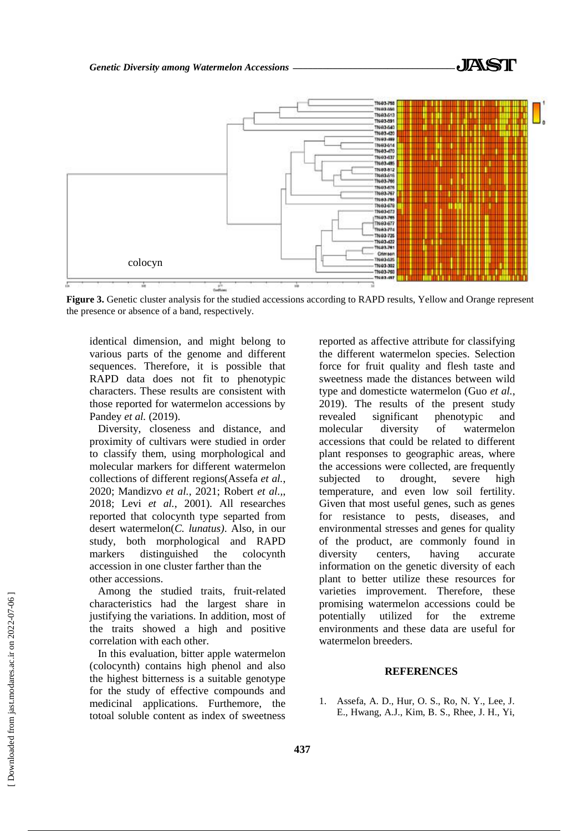

**Figure 3.** Genetic cluster analysis for the studied accessions according to RAPD results, Yellow and Orange represent the presence or absence of a band, respectively.

identical dimension, and might belong to various parts of the genome and different sequences. Therefore, it is possible that RAPD data does not fit to phenotypic characters. These results are consistent with those reported for watermelon accessions by Pandey *et al.* (2019).

Diversity, closeness and distance, and proximity of cultivars were studied in order to classify them, using morphological and molecular markers for different watermelon collections of different regions(Assefa *et al.*, 2020; Mandizvo *et al.*, 2021; Robert *et al.,*, 2018; Levi *et al.*, 2001). All researches reported that colocynth type separted from desert watermelon(*C. lunatus)*. Also, in our study, both morphological and RAPD markers distinguished the colocynth accession in one cluster farther than the other accessions.

Among the studied traits, fruit-related characteristics had the largest share in justifying the variations. In addition, most of the traits showed a high and positive correlation with each other.

In this evaluation, bitter apple watermelon (colocynth) contains high phenol and also the highest bitterness is a suitable genotype for the study of effective compounds and medicinal applications. Furthemore, the totoal soluble content as index of sweetness

reported as affective attribute for classifying the different watermelon species. Selection force for fruit quality and flesh taste and sweetness made the distances between wild type and domesticte watermelon (Guo *et al.*, 2019). The results of the present study revealed significant phenotypic and molecular diversity of watermelon accessions that could be related to different plant responses to geographic areas, where the accessions were collected, are frequently subjected to drought, severe high temperature, and even low soil fertility. Given that most useful genes, such as genes for resistance to pests, diseases, and environmental stresses and genes for quality of the product, are commonly found in diversity centers, having accurate information on the genetic diversity of each plant to better utilize these resources for varieties improvement. Therefore, these promising watermelon accessions could be potentially utilized for the extreme environments and these data are useful for watermelon breeders.

# **REFERENCES**

1. Assefa, A. D., Hur, O. S., Ro, N. Y., Lee, J. E., Hwang, A.J., Kim, B. S., Rhee, J. H., Yi,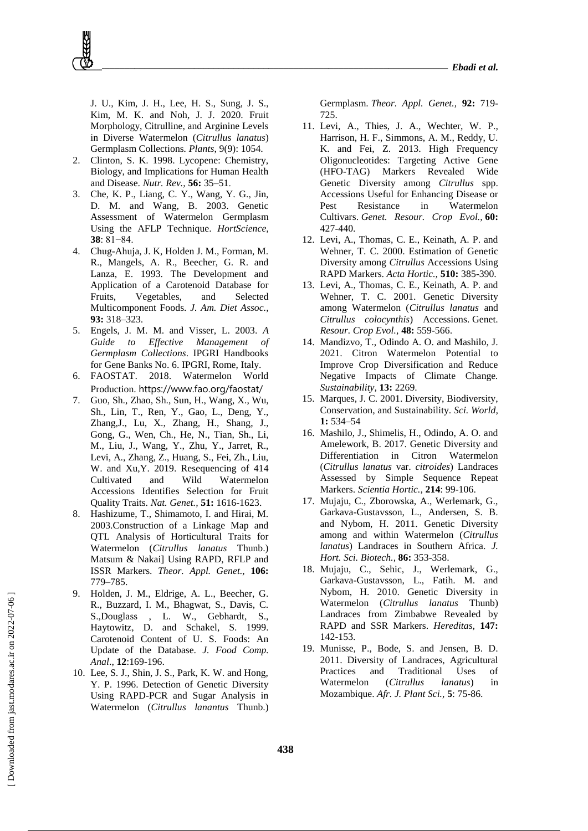J. U., Kim, J. H., Lee, H. S., Sung, J. S., Kim, M. K. and Noh, J. J. 2020. Fruit Morphology, Citrulline, and Arginine Levels in Diverse Watermelon (*Citrullus lanatus*) Germplasm Collections*. Plants*, 9(9): 1054.

- 2. Clinton, S. K. 1998. Lycopene: Chemistry, Biology, and Implications for Human Health and Disease. *Nutr. Rev.,* **56:** 35–51.
- 3. Che, K. P., Liang, C. Y., Wang, Y. G., Jin, D. M. and Wang, B. 2003. Genetic Assessment of Watermelon Germplasm Using the AFLP Technique. *HortScience,* **38**: 81−84.
- 4. Chug-Ahuja, J. K, Holden J. M., Forman, M. R., Mangels, A. R., Beecher, G. R. and Lanza, E. 1993. The Development and Application of a Carotenoid Database for Fruits, Vegetables, and Selected Multicomponent Foods. *J. Am. Diet Assoc.,* **93:** 318–323.
- 5. Engels, J. M. M. and Visser, L. 2003. *A Guide to Effective Management of Germplasm Collections*. IPGRI Handbooks for Gene Banks No. 6. IPGRI, Rome, Italy.
- 6. FAOSTAT. 2018. Watermelon World Production. https://www.fao.org/faostat/
- 7. Guo, Sh., Zhao, Sh., Sun, H., Wang, X., Wu, Sh., Lin, T., Ren, Y., Gao, L., Deng, Y., Zhang,J., Lu, X., Zhang, H., Shang, J., Gong, G., Wen, Ch., He, N., Tian, Sh., Li, M., Liu, J., Wang, Y., Zhu, Y., Jarret, R., Levi, A., Zhang, Z., Huang, S., Fei, Zh., Liu, W. and Xu,Y. 2019. Resequencing of 414 Cultivated and Wild Watermelon Accessions Identifies Selection for Fruit Quality Traits. *Nat. Genet.,* **51:** 1616-1623.
- 8. Hashizume, T., Shimamoto, I. and Hirai, M. 2003.Construction of a Linkage Map and QTL Analysis of Horticultural Traits for Watermelon (*Citrullus lanatus* Thunb.) Matsum & Nakai] Using RAPD, RFLP and ISSR Markers. *Theor. Appl. Genet.,* **106:** 779–785.
- 9. Holden, J. M., Eldrige, A. L., Beecher, G. R., Buzzard, I. M., Bhagwat, S., Davis, C. S.,Douglass , L. W., Gebhardt, S., Haytowitz, D. and Schakel, S. 1999. Carotenoid Content of U. S. Foods: An Update of the Database. *J. Food Comp. Anal*., **12**:169-196.
- 10. Lee, S. J., Shin, J. S., Park, K. W. and Hong, Y. P. 1996. Detection of Genetic Diversity Using RAPD-PCR and Sugar Analysis in Watermelon (*Citrullus lanantus* Thunb.)

Germplasm. *Theor. Appl. Genet.,* **92:** 719- 725.

- 11. Levi, A., Thies, J. A., Wechter, W. P., Harrison, H. F., Simmons, A. M., Reddy, U. K. and Fei, Z. 2013. High Frequency Oligonucleotides: Targeting Active Gene (HFO-TAG) Markers Revealed Wide Genetic Diversity among *Citrullus* spp. Accessions Useful for Enhancing Disease or Pest Resistance in Watermelon Cultivars. *Genet. Resour. Crop Evol.,* **60:** 427-440.
- 12. Levi, A., Thomas, C. E., Keinath, A. P. and Wehner, T. C. 2000. Estimation of Genetic Diversity among *Citrullus* Accessions Using RAPD Markers. *Acta Hortic.,* **510:** 385-390.
- 13. Levi, A., Thomas, C. E., Keinath, A. P. and Wehner, T. C. 2001. Genetic Diversity among Watermelon (*Citrullus lanatus* and *Citrullus colocynthis*) Accessions. Genet. *Resour. Crop Evol.,* **48:** 559-566.
- 14. Mandizvo, T., Odindo A. O. and Mashilo, J. 2021. Citron Watermelon Potential to Improve Crop Diversification and Reduce Negative Impacts of Climate Change*. Sustainability,* **13:** 2269.
- 15. Marques, J. C. 2001. Diversity, Biodiversity, Conservation, and Sustainability. *Sci. World,* **1:** 534–54
- 16. Mashilo, J., Shimelis, H., Odindo, A. O. and Amelework, B. 2017. Genetic Diversity and Differentiation in Citron Watermelon (*Citrullus lanatus* var. *citroides*) Landraces Assessed by Simple Sequence Repeat Markers. *Scientia Hortic.,* **214**: 99-106.
- 17. Mujaju, C., Zborowska, A., Werlemark, G., Garkava-Gustavsson, L., Andersen, S. B. and Nybom, H. 2011. Genetic Diversity among and within Watermelon (*Citrullus lanatus*) Landraces in Southern Africa. *J. Hort. Sci. Biotech.,* **86:** 353-358.
- 18. Mujaju, C., Sehic, J., Werlemark, G., Garkava-Gustavsson, L., Fatih. M. and Nybom, H. 2010. Genetic Diversity in Watermelon (*Citrullus lanatus* Thunb) Landraces from Zimbabwe Revealed by RAPD and SSR Markers. *Hereditas,* **147:** 142-153.
- 19. Munisse, P., Bode, S. and Jensen, B. D. 2011. Diversity of Landraces, Agricultural Practices and Traditional Uses of Watermelon (*Citrullus lanatus*) in Mozambique. *Afr. J. Plant Sci.,* **5**: 75-86.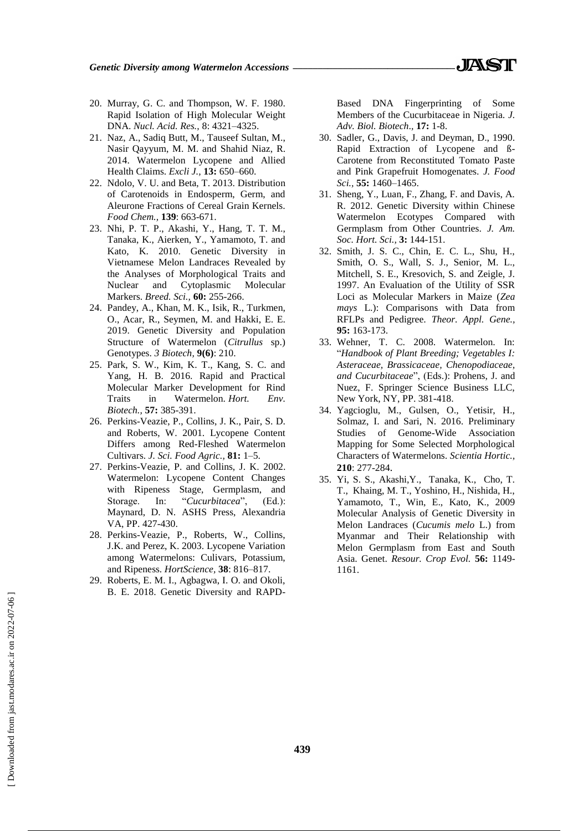*Genetic Diversity among Watermelon Accessions \_\_\_\_\_\_\_\_\_\_\_\_\_\_\_\_\_\_\_\_\_\_\_\_\_\_\_\_\_\_\_\_\_*

- 20. Murray, G. C. and Thompson, W. F. 1980. Rapid Isolation of High Molecular Weight DNA. *Nucl. Acid. Res.,* 8: 4321–4325.
- 21. Naz, A., Sadiq Butt, M., Tauseef Sultan, M., Nasir Qayyum, M. M. and Shahid Niaz, R. 2014. Watermelon Lycopene and Allied Health Claims. *Excli J.,* **13:** 650–660.
- 22. Ndolo, V. U. and Beta, T. 2013. Distribution of Carotenoids in Endosperm, Germ, and Aleurone Fractions of Cereal Grain Kernels. *Food Chem.,* **139**: 663-671.
- 23. Nhi, P. T. P., Akashi, Y., Hang, T. T. M., Tanaka, K., Aierken, Y., Yamamoto, T. and Kato, K. 2010. Genetic Diversity in Vietnamese Melon Landraces Revealed by the Analyses of Morphological Traits and Nuclear and Cytoplasmic Molecular Markers. *Breed. Sci.,* **60:** 255-266.
- 24. Pandey, A., Khan, M. K., Isik, R., Turkmen, O., Acar, R., Seymen, M. and Hakki, E. E. 2019. Genetic Diversity and Population Structure of Watermelon (*Citrullus* sp.) Genotypes. *3 Biotech,* **9(6)**: 210.
- 25. Park, S. W., Kim, K. T., Kang, S. C. and Yang, H. B. 2016. Rapid and Practical Molecular Marker Development for Rind Traits in Watermelon. *Hort. Env. Biotech.,* **57:** 385-391.
- 26. Perkins-Veazie, P., Collins, J. K., Pair, S. D. and Roberts, W. 2001. Lycopene Content Differs among Red-Fleshed Watermelon Cultivars. *J. Sci. Food Agric.,* **81:** 1–5.
- 27. Perkins-Veazie, P. and Collins, J. K. 2002. Watermelon: Lycopene Content Changes with Ripeness Stage, Germplasm, and Storage. In: "Cucurbitacea", (Ed.): Maynard, D. N. ASHS Press, Alexandria VA, PP. 427-430.
- 28. Perkins-Veazie, P., Roberts, W., Collins, J.K. and Perez, K. 2003. Lycopene Variation among Watermelons: Culivars, Potassium, and Ripeness. *HortScience,* **38**: 816–817.
- 29. Roberts, E. M. I., Agbagwa, I. O. and Okoli, B. E. 2018. Genetic Diversity and RAPD-

Based DNA Fingerprinting of Some Members of the Cucurbitaceae in Nigeria. *J. Adv. Biol. Biotech*.*,* **17:** 1-8.

- 30. Sadler, G., Davis, J. and Deyman, D., 1990. Rapid Extraction of Lycopene and ß-Carotene from Reconstituted Tomato Paste and Pink Grapefruit Homogenates. *J. Food Sci.,* **55:** 1460–1465.
- 31. Sheng, Y., Luan, F., Zhang, F. and Davis, A. R. 2012. Genetic Diversity within Chinese Watermelon Ecotypes Compared with Germplasm from Other Countries. *J. Am. Soc. Hort. Sci.,* **3:** 144-151.
- 32. Smith, J. S. C., Chin, E. C. L., Shu, H., Smith, O. S., Wall, S. J., Senior, M. L., Mitchell, S. E., Kresovich, S. and Zeigle, J. 1997. An Evaluation of the Utility of SSR Loci as Molecular Markers in Maize (*Zea mays* L.): Comparisons with Data from RFLPs and Pedigree. *Theor. Appl. Gene.,*  **95:** 163-173.
- 33. Wehner, T. C. 2008. Watermelon. In: "*Handbook of Plant Breeding; Vegetables I: Asteraceae, Brassicaceae, Chenopodiaceae, and Cucurbitaceae*", (Eds.): Prohens, J. and Nuez, F. Springer Science Business LLC, New York, NY, PP. 381-418.
- 34. Yagcioglu, M., Gulsen, O., Yetisir, H., Solmaz, I. and Sari, N. 2016. Preliminary Studies of Genome-Wide Association Mapping for Some Selected Morphological Characters of Watermelons. *Scientia Hortic.,* **210**: 277-284.
- 35. Yi, S. S., Akashi,Y., Tanaka, K., Cho, T. T., Khaing, M. T., Yoshino, H., Nishida, H., Yamamoto, T., Win, E., Kato, K., 2009 Molecular Analysis of Genetic Diversity in Melon Landraces (*Cucumis melo* L.) from Myanmar and Their Relationship with Melon Germplasm from East and South Asia. Genet. *Resour. Crop Evol.* **56:** 1149- 1161.